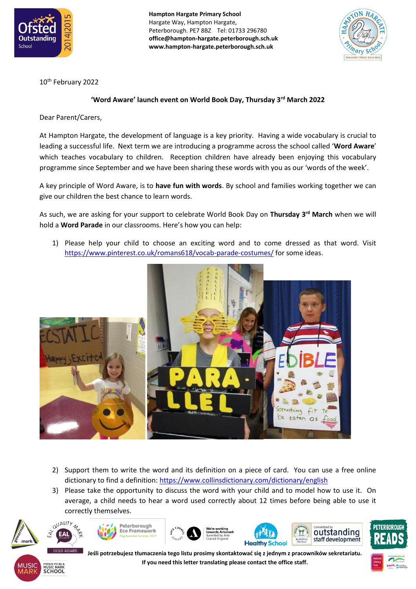

**Hampton Hargate Primary School** Hargate Way, Hampton Hargate, Peterborough. PE7 8BZ Tel: 01733 296780 **office@hampton-hargate.peterborough.sch.uk www.hampton-hargate.peterborough.sch.uk**



10th February 2022

## **'Word Aware' launch event on World Book Day, Thursday 3rd March 2022**

Dear Parent/Carers,

At Hampton Hargate, the development of language is a key priority. Having a wide vocabulary is crucial to leading a successful life. Next term we are introducing a programme across the school called '**Word Aware**' which teaches vocabulary to children. Reception children have already been enjoying this vocabulary programme since September and we have been sharing these words with you as our 'words of the week'.

A key principle of Word Aware, is to **have fun with words**. By school and families working together we can give our children the best chance to learn words.

As such, we are asking for your support to celebrate World Book Day on **Thursday 3rd March** when we will hold a **Word Parade** in our classrooms. Here's how you can help:

1) Please help your child to choose an exciting word and to come dressed as that word. Visit <https://www.pinterest.co.uk/romans618/vocab-parade-costumes/> for some ideas.



- 2) Support them to write the word and its definition on a piece of card. You can use a free online dictionary to find a definition:<https://www.collinsdictionary.com/dictionary/english>
- 3) Please take the opportunity to discuss the word with your child and to model how to use it. On average, a child needs to hear a word used correctly about 12 times before being able to use it correctly themselves.













**Jeśli potrzebujesz tłumaczenia tego listu prosimy skontaktować się z jednym z pracowników sekretariatu. If you need this letter translating please contact the office staff.**